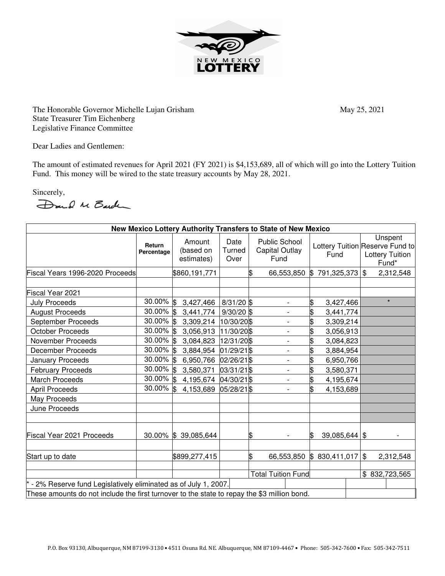

The Honorable Governor Michelle Lujan Grisham May 25, 2021 State Treasurer Tim Eichenberg Legislative Finance Committee

Dear Ladies and Gentlemen:

The amount of estimated revenues for April 2021 (FY 2021) is \$4,153,689, all of which will go into the Lottery Tuition Fund. This money will be wired to the state treasury accounts by May 28, 2021.

Sincerely,

Dand M Barch

| New Mexico Lottery Authority Transfers to State of New Mexico                               |                      |                                   |                           |    |                                                |                                         |  |               |                                            |
|---------------------------------------------------------------------------------------------|----------------------|-----------------------------------|---------------------------|----|------------------------------------------------|-----------------------------------------|--|---------------|--------------------------------------------|
|                                                                                             | Return<br>Percentage | Amount<br>(based on<br>estimates) | Date<br>Turned<br>Over    |    | <b>Public School</b><br>Capital Outlay<br>Fund | Lottery Tuition Reserve Fund to<br>Fund |  |               | Unspent<br><b>Lottery Tuition</b><br>Fund* |
| Fiscal Years 1996-2020 Proceeds                                                             |                      | \$860,191,771                     |                           |    | 66,553,850                                     | 791,325,373<br>\$                       |  | $\mathbb{S}$  | 2,312,548                                  |
|                                                                                             |                      |                                   |                           |    |                                                |                                         |  |               |                                            |
| Fiscal Year 2021                                                                            |                      |                                   |                           |    |                                                |                                         |  |               |                                            |
| <b>July Proceeds</b>                                                                        | 30.00% \$            | 3,427,466                         | $8/31/20$ \$              |    | $\overline{\phantom{0}}$                       | \$<br>3,427,466                         |  |               | $\star$                                    |
| <b>August Proceeds</b>                                                                      | $30.00\%$ \$         | 3,441,774                         | $9/30/20$ \$              |    | $\overline{\phantom{0}}$                       | \$<br>3,441,774                         |  |               |                                            |
| September Proceeds                                                                          | 30.00% \$            | 3,309,214                         | 10/30/20 \$               |    | $\overline{\phantom{0}}$                       | \$<br>3,309,214                         |  |               |                                            |
| <b>October Proceeds</b>                                                                     | 30.00% \$            | 3,056,913                         | 11/30/20 \$               |    |                                                | \$<br>3,056,913                         |  |               |                                            |
| November Proceeds                                                                           | $30.00\%$ \$         | 3,084,823                         | 12/31/20 \$               |    | $\overline{\phantom{0}}$                       | \$<br>3,084,823                         |  |               |                                            |
| <b>December Proceeds</b>                                                                    | 30.00% \$            | 3,884,954                         | 01/29/21\$                |    | $\overline{\phantom{0}}$                       | \$<br>3,884,954                         |  |               |                                            |
| January Proceeds                                                                            | $30.00\%$ \$         | 6,950,766                         | 02/26/21 \$               |    |                                                | 6,950,766                               |  |               |                                            |
| <b>February Proceeds</b>                                                                    | $30.00\%$ \$         | 3,580,371                         | 03/31/21\$                |    | $\qquad \qquad \blacksquare$                   | \$<br>3,580,371                         |  |               |                                            |
| <b>March Proceeds</b>                                                                       | $30.00\%$ \$         | 4,195,674                         | 04/30/21\$                |    | $\overline{\phantom{0}}$                       | \$<br>4,195,674                         |  |               |                                            |
| <b>April Proceeds</b>                                                                       | $30.00\%$ \$         | 4,153,689                         | 05/28/21 \$               |    | $\overline{\phantom{a}}$                       | 4,153,689                               |  |               |                                            |
| May Proceeds                                                                                |                      |                                   |                           |    |                                                |                                         |  |               |                                            |
| June Proceeds                                                                               |                      |                                   |                           |    |                                                |                                         |  |               |                                            |
| Fiscal Year 2021 Proceeds                                                                   |                      | 30.00% \$ 39,085,644              |                           | S  |                                                | $39,085,644$ \$<br>ß.                   |  |               |                                            |
| Start up to date                                                                            |                      | \$899,277,415                     |                           | \$ | 66,553,850                                     | $$830,411,017$ \\$                      |  |               | 2,312,548                                  |
|                                                                                             |                      |                                   | <b>Total Tuition Fund</b> |    |                                                |                                         |  | \$832,723,565 |                                            |
| - 2% Reserve fund Legislatively eliminated as of July 1, 2007.                              |                      |                                   |                           |    |                                                |                                         |  |               |                                            |
| These amounts do not include the first turnover to the state to repay the \$3 million bond. |                      |                                   |                           |    |                                                |                                         |  |               |                                            |